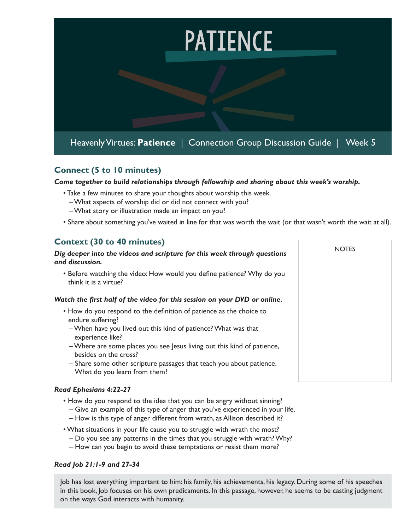

## **Connect (5 to 10 minutes)**

*Come together to build relationships through fellowship and sharing about this week's worship.* 

- Take a few minutes to share your thoughts about worship this week.
	- What aspects of worship did or did not connect with you?
	- What story or illustration made an impact on you?
- Share about something you've waited in line for that was worth the wait (or that wasn't worth the wait at all).

**NOTES** 

## **Context (30 to 40 minutes)**

#### *Dig deeper into the videos and scripture for this week through questions and discussion.*

• Before watching the video: How would you define patience? Why do you think it is a virtue?

#### *Watch the first half of the video for this session on your DVD or online.*

- How do you respond to the definition of patience as the choice to endure suffering?
	- When have you lived out this kind of patience? What was that experience like?
	- Where are some places you see Jesus living out this kind of patience, besides on the cross?
	- Share some other scripture passages that teach you about patience. What do you learn from them?

### *Read Ephesians 4:22-27*

- How do you respond to the idea that you can be angry without sinning?
	- Give an example of this type of anger that you've experienced in your life.
	- How is this type of anger different from wrath, as Allison described it?
- What situations in your life cause you to struggle with wrath the most?
	- Do you see any patterns in the times that you struggle with wrath? Why?
	- How can you begin to avoid these temptations or resist them more?

#### *Read Job 21:1-9 and 27-34*

Job has lost everything important to him: his family, his achievements, his legacy. During some of his speeches in this book, Job focuses on his own predicaments. In this passage, however, he seems to be casting judgment on the ways God interacts with humanity.